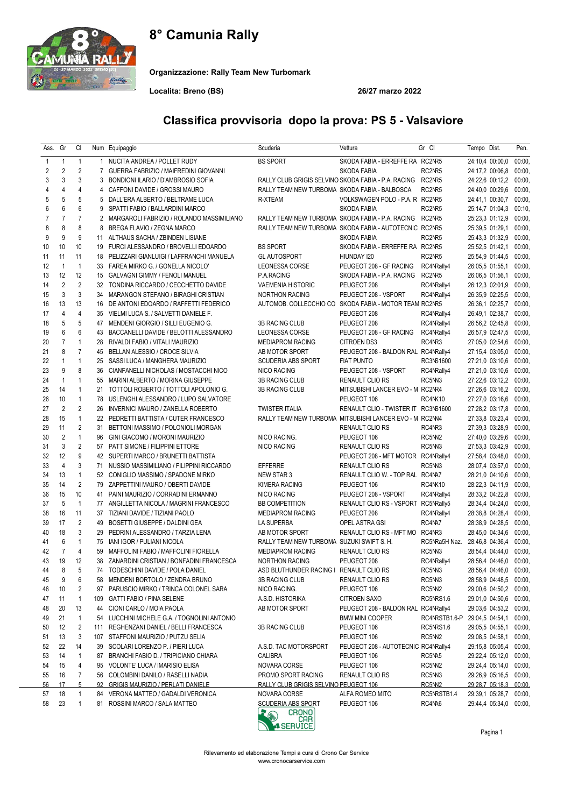## 8° Camunia Rally



Organizzazione: Rally Team New Turbomark

Localita: Breno (BS) 26/27 marzo 2022

# Classifica provvisoria dopo la prova: PS 5 - Valsaviore

| Ass.           | Gr             | CI             |     | Num Equipaggio                               | Scuderia                                      | Vettura                                                    | Gr Cl          | Tempo Dist.            | Pen.   |
|----------------|----------------|----------------|-----|----------------------------------------------|-----------------------------------------------|------------------------------------------------------------|----------------|------------------------|--------|
| 1              | $\mathbf{1}$   | $\mathbf{1}$   |     | 1 NUCITA ANDREA / POLLET RUDY                | <b>BS SPORT</b>                               | SKODA FABIA - ERREFFE RA RC2NR5                            |                | 24:10,4 00:00,0        | 00:00, |
| $\overline{2}$ | 2              | $\overline{2}$ |     | 7 GUERRA FABRIZIO / MAIFREDINI GIOVANNI      |                                               | <b>SKODA FABIA</b>                                         | RC2NR5         | 24:17,2 00:06,8        | 00:00, |
| 3              | 3              | 3              | 3   | BONDIONI ILARIO / D'AMBROSIO SOFIA           |                                               | RALLY CLUB GRIGIS SELVINO SKODA FABIA - P.A. RACING RC2NR5 |                | 24:22,6 00:12,2        | 00:00, |
| $\overline{4}$ | $\overline{4}$ | $\overline{4}$ | 4   | CAFFONI DAVIDE / GROSSI MAURO                | RALLY TEAM NEW TURBOMA SKODA FABIA - BALBOSCA |                                                            | RC2NR5         | 24:40,0 00:29,6        | 00:00, |
| 5              | 5              | 5              | 5   | DALL'ERA ALBERTO / BELTRAME LUCA             | R-XTEAM                                       | VOLKSWAGEN POLO - P.A. R RC2NR5                            |                | 24:41,1 00:30,7        | 00:00, |
| 6              | 6              | 6              | 9   | SPATTI FABIO / BALLARDINI MARCO              |                                               | SKODA FABIA                                                | RC2NR5         | 25:14,7 01:04,3        | 00:10, |
| $\overline{7}$ | $\overline{7}$ | $\overline{7}$ | 2   | MARGAROLI FABRIZIO / ROLANDO MASSIMILIANO    |                                               | RALLY TEAM NEW TURBOMA SKODA FABIA - P.A. RACING RC2NR5    |                | 25:23,3 01:12,9        | 00:00, |
| 8              | 8              | 8              | 8   | BREGA FLAVIO / ZEGNA MARCO                   |                                               | RALLY TEAM NEW TURBOMA SKODA FABIA - AUTOTECNIC RC2NR5     |                | 25:39,5 01:29,1        | 00:00, |
| 9              | 9              | 9              |     | 11 ALTHAUS SACHA / ZBINDEN LISIANE           |                                               | SKODA FABIA                                                | RC2NR5         | 25:43,3 01:32,9        | 00:00, |
| 10             | 10             | 10             |     | 19 FURCI ALESSANDRO / BROVELLI EDOARDO       | <b>BS SPORT</b>                               | SKODA FABIA - ERREFFE RA RC2NR5                            |                | 25:52,5 01:42,1        | 00:00, |
| 11             | 11             | 11             | 18  | PELIZZARI GIANLUIGI / LAFFRANCHI MANUELA     | <b>GL AUTOSPORT</b>                           | HIUNDAY 120                                                | RC2NR5         | 25:54,9 01:44,5        | 00:00, |
| 12             | $\mathbf{1}$   | $\overline{1}$ |     | 33 FAREA MIRKO G. / GONELLA NICOLO'          | LEONESSA CORSE                                | PEUGEOT 208 - GF RACING                                    | RC4NRally4     | 26:05,5 01:55,1        | 00:00, |
| 13             | 12             | 12             | 15  | GALVAGNI GIMMY / FENOLI MANUEL               | P.A.RACING                                    | SKODA FABIA - P.A. RACING RC2NR5                           |                | 26:06,5 01:56,1        | 00:00, |
| 14             | 2              | $\overline{2}$ | 32  | TONDINA RICCARDO / CECCHETTO DAVIDE          | <b>VAEMENIA HISTORIC</b>                      | PEUGEOT 208                                                | RC4NRally4     | 26:12,3 02:01,9        | 00:00, |
| 15             | 3              | 3              |     | 34 MARANGON STEFANO / BIRAGHI CRISTIAN       | <b>NORTHON RACING</b>                         | PEUGEOT 208 - VSPORT                                       | RC4NRally4     | 26:35,9 02:25,5        | 00:00, |
| 16             | 13             | 13             | 16  | DE ANTONI EDOARDO / RAFFETTI FEDERICO        |                                               | AUTOMOB. COLLECCHIO CO SKODA FABIA - MOTOR TEAM RC2NR5     |                | 26:36,1 02:25,7        | 00:00, |
| 17             | $\overline{4}$ | $\overline{4}$ | 35  | VIELMI LUCA S. / SALVETTI DANIELE F.         |                                               | PEUGEOT 208                                                | RC4NRally4     | 26:49,1 02:38,7        | 00:00, |
| 18             | 5              | 5              |     | 47 MENDENI GIORGIO / SILLI EUGENIO G.        | 3B RACING CLUB                                | PEUGEOT 208                                                | RC4NRally4     | 26:56,2 02:45,8 00:00, |        |
| 19             | 6              | 6              | 43  | BACCANELLI DAVIDE / BELOTTI ALESSANDRO       | <b>LEONESSA CORSE</b>                         | PEUGEOT 208 - GF RACING                                    | RC4NRally4     | 26:57,9 02:47,5        | 00:00, |
| 20             | $\overline{7}$ | $\mathbf{1}$   | 28  | RIVALDI FABIO / VITALI MAURIZIO              | <b>MEDIAPROM RACING</b>                       | <b>CITROEN DS3</b>                                         | RC4NR3         | 27:05,0 02:54,6        | 00:00, |
| 21             | 8              | $\overline{7}$ | 45  | BELLAN ALESSIO / CROCE SILVIA                | AB MOTOR SPORT                                | PEUGEOT 208 - BALDON RAL RC4NRally4                        |                | 27:15,4 03:05,0 00:00, |        |
| 22             | $\mathbf{1}$   | $\mathbf{1}$   | 25  | SASSI LUCA / MANGHERA MAURIZIO               | <b>SCUDERIA ABS SPORT</b>                     | <b>FIAT PUNTO</b>                                          | RC3NS1600      | 27:21,0 03:10,6        | 00:00, |
| 23             | 9              | 8              | 36  | CIANFANELLI NICHOLAS / MOSTACCHI NICO        | NICO RACING                                   | PEUGEOT 208 - VSPORT                                       | RC4NRally4     | 27:21.0 03:10.6 00:00, |        |
| 24             | $\mathbf{1}$   | $\mathbf{1}$   | 55  | MARINI ALBERTO / MORINA GIUSEPPE             | 3B RACING CLUB                                | RENAULT CLIO RS                                            | RC5NN3         | 27:22,6 03:12,2 00:00, |        |
| 25             | 14             | $\mathbf{1}$   | 21  | TOTTOLI ROBERTO / TOTTOLI APOLONIO G.        | 3B RACING CLUB                                | MITSUBISHI LANCER EVO - M RC2NR4                           |                | 27:26,6 03:16,2        | 00:00, |
| 26             | 10             | $\mathbf{1}$   |     | 78 USLENGHI ALESSANDRO / LUPO SALVATORE      |                                               | PEUGEOT 106                                                | <b>RC4NK10</b> | 27:27,0 03:16,6        | 00:00, |
| 27             | $\overline{2}$ | $\overline{2}$ | 26  | INVERNICI MAURO / ZANELLA ROBERTO            | <b>TWISTER ITALIA</b>                         | RENAULT CLIO - TWISTER IT RC3NS1600                        |                | 27:28,2 03:17,8        | 00:00, |
| 28             | 15             | $\mathbf{1}$   | 22  | PEDRETTI BATTISTA / CUTER FRANCESCO          |                                               | RALLY TEAM NEW TURBOMA MITSUBISHI LANCER EVO - M RC2NN4    |                | 27:33,8 03:23,4        | 00:00, |
| 29             | 11             | $\overline{2}$ |     | 31 BETTONI MASSIMO / POLONIOLI MORGAN        |                                               | RENAULT CLIO RS                                            | RC4NR3         | 27:39,3 03:28,9        | 00:00, |
| 30             | $\overline{2}$ | $\mathbf{1}$   | 96  | GINI GIACOMO / MORONI MAURIZIO               | NICO RACING.                                  | PEUGEOT 106                                                | RC5NN2         | 27:40,0 03:29,6 00:00, |        |
| 31             | 3              | $\overline{2}$ |     | 57 PATT SIMONE / FILIPPINI ETTORE            | NICO RACING                                   | RENAULT CLIO RS                                            | RC5NN3         | 27:53,3 03:42,9 00:00, |        |
| 32             | 12             | 9              |     | 42 SUPERTI MARCO / BRUNETTI BATTISTA         |                                               | PEUGEOT 208 - MFT MOTOR RC4NRally4                         |                | 27:58,4 03:48,0        | 00:00, |
| 33             | $\overline{4}$ | 3              | 71  | NUSSIO MASSIMILIANO / FILIPPINI RICCARDO     | <b>EFFERRE</b>                                | RENAULT CLIO RS                                            | RC5NN3         | 28:07,4 03:57,0        | 00:00, |
| 34             | 13             | $\mathbf{1}$   |     | 52 CONIGLIO MASSIMO / SPADONE MIRKO          | NEW STAR 3                                    | RENAULT CLIO W. - TOP RAL RC4NA7                           |                | 28:21,0 04:10,6        | 00:00, |
| 35             | 14             | $\overline{2}$ |     | 79 ZAPPETTINI MAURO / OBERTI DAVIDE          | <b>KIMERA RACING</b>                          | PEUGEOT 106                                                | <b>RC4NK10</b> | 28:22,3 04:11,9        | 00:00, |
| 36             | 15             | 10             | 41  | PAINI MAURIZIO / CORRADINI ERMANNO           | <b>NICO RACING</b>                            | PEUGEOT 208 - VSPORT                                       | RC4NRally4     | 28:33,2 04:22,8        | 00:00, |
| 37             | 5              | $\overline{1}$ |     | 77 ANGILLETTA NICOLA / MAGRINI FRANCESCO     | <b>BB COMPETITION</b>                         | RENAULT CLIO RS - VSPORT RC5NRally5                        |                | 28:34,4 04:24,0        | 00:00, |
| 38             | 16             | 11             |     | 37 TIZIANI DAVIDE / TIZIANI PAOLO            | <b>MEDIAPROM RACING</b>                       | PEUGEOT 208                                                | RC4NRally4     | 28:38,8 04:28,4        | 00:00, |
| 39             | 17             | $\overline{2}$ | 49  | <b>BOSETTI GIUSEPPE / DALDINI GEA</b>        | <b>LA SUPERBA</b>                             | OPEL ASTRA GSI                                             | RC4NA7         | 28:38,9 04:28,5        | 00:00, |
| 40             | 18             | 3              | 29  | PEDRINI ALESSANDRO / TARZIA LENA             | AB MOTOR SPORT                                | RENAULT CLIO RS - MFT MO RC4NR3                            |                | 28:45.0 04:34.6        | 00:00, |
| 41             | 6              | $\mathbf{1}$   | 75  | IANI IGOR / PULIANI NICOLA                   | RALLY TEAM NEW TURBOMA SUZUKI SWIFT S. H.     |                                                            | RC5NRa5H Naz.  | 28:46,8 04:36,4        | 00:00, |
| 42             | $\overline{7}$ | $\overline{4}$ | 59  | MAFFOLINI FABIO / MAFFOLINI FIORELLA         | <b>MEDIAPROM RACING</b>                       | RENAULT CLIO RS                                            | RC5NN3         | 28:54,4 04:44,0        | 00:00, |
| 43             | 19             | 12             | 38  | ZANARDINI CRISTIAN / BONFADINI FRANCESCA     | <b>NORTHON RACING</b>                         | PEUGEOT 208                                                | RC4NRally4     | 28:56,4 04:46,0 00:00, |        |
| 44             | 8              | 5              |     | 74 TODESCHINI DAVIDE / POLA DANIEL           | ASD BLUTHUNDER RACING I RENAULT CLIO RS       |                                                            | RC5NN3         | 28:56,4 04:46,0 00:00, |        |
| 45             | 9              | 6              | 58  | MENDENI BORTOLO / ZENDRA BRUNO               | 3B RACING CLUB                                | RENAULT CLIO RS                                            | RC5NN3         | 28:58,9 04:48,5        | 00:00, |
| 46             | 10             | 2              | 97  | PARUSCIO MIRKO / TRINCA COLONEL SARA         | NICO RACING.                                  | PEUGEOT 106                                                | RC5NN2         | 29:00,6 04:50,2        | 00:00, |
| 47             | 11             | 1              | 109 | <b>GATTI FABIO / PINA SELENE</b>             | A.S.D. HISTORIKA                              | <b>CITROEN SAXO</b>                                        | RC5NRS1.6      | 29:01,0 04:50,6        | 00:00, |
| 48             | 20             | 13             | 44  | CIONI CARLO / MOIA PAOLA                     | AB MOTOR SPORT                                | PEUGEOT 208 - BALDON RAL RC4NRally4                        |                | 29:03,6 04:53,2 00:00, |        |
| 49             | 21             | $\mathbf{1}$   |     | 54 LUCCHINI MICHELE G.A. / TOGNOLINI ANTONIO |                                               | <b>BMW MINI COOPER</b>                                     | RC4NRSTB1.6-P  | 29:04,5 04:54,1        | 00:00, |
| 50             | 12             | 2              |     | 111 REGHENZANI DANIEL / BELLI FRANCESCA      | 3B RACING CLUB                                | PEUGEOT 106                                                | RC5NRS1.6      | 29:05,5 04:55,1        | 00:00, |
| 51             | 13             | 3              | 107 | STAFFONI MAURIZIO / PUTZU SELIA              |                                               | PEUGEOT 106                                                | RC5NN2         | 29:08,5 04:58,1        | 00:00, |
| 52             | 22             | 14             |     | 39 SCOLARI LORENZO P. / PIERI LUCA           | A.S.D. TAC MOTORSPORT                         | PEUGEOT 208 - AUTOTECNIC RC4NRally4                        |                | 29:15,8 05:05,4 00:00, |        |
| 53             | 14             | 1              |     | 87 BRANCHI FABIO D. / TRIPICIANO CHIARA      | CALIBRA                                       | PEUGEOT 106                                                | RC5NA5         | 29:22,4 05:12,0 00:00, |        |
| 54             | 15             | 4              | 95  | VOLONTE' LUCA / IMARISIO ELISA               | NOVARA CORSE                                  | PEUGEOT 106                                                | RC5NN2         | 29:24,4 05:14,0        | 00:00, |
| 55             | 16             | 7              |     | 56 COLOMBINI DANILO / RASELLI NADIA          | PROMO SPORT RACING                            | RENAULT CLIO RS                                            | RC5NN3         | 29:26,9 05:16,5 00:00, |        |
| 56             | 17             | 5              |     | 92 GRIGIS MAURIZIO / PERLATI DANIELE         | RALLY CLUB GRIGIS SELVINO PEUGEOT 106         |                                                            | <b>RC5NN2</b>  | 29:28,7 05:18,3 00:00, |        |
| 57             | 18             | $\mathbf{1}$   |     | 84 VERONA MATTEO / GADALDI VERONICA          | NOVARA CORSE                                  | ALFA ROMEO MITO                                            | RC5NRSTB1.4    | 29:39.1 05:28.7 00:00, |        |
| 58             | 23             | $\mathbf{1}$   |     | 81 ROSSINI MARCO / SALA MATTEO               | <b>SCUDERIA ABS SPORT</b><br>cootio)          | PEUGEOT 106                                                | RC4NA6         | 29:44,4 05:34,0 00:00, |        |

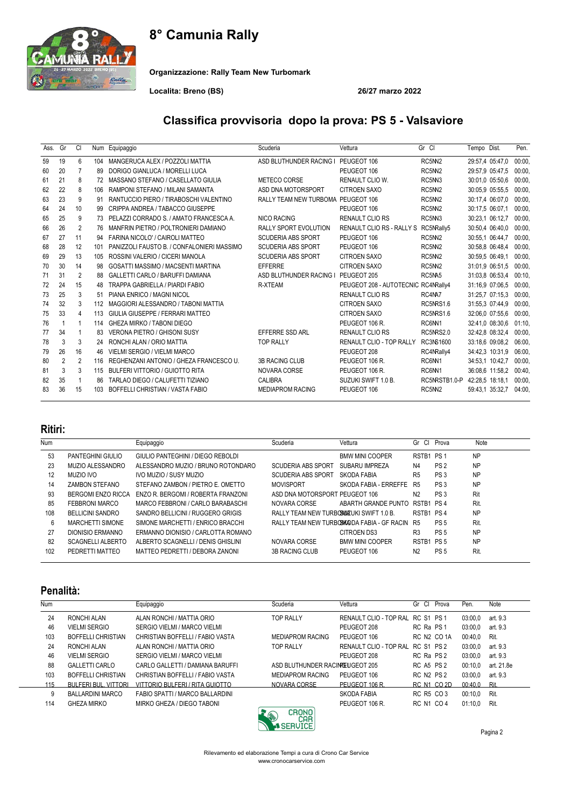## 8° Camunia Rally



Organizzazione: Rally Team New Turbomark

Localita: Breno (BS) 26/27 marzo 2022

### Classifica provvisoria dopo la prova: PS 5 - Valsaviore

| Ass. | Gr | <b>CI</b>      | Num | Equipaggio                                 | Scuderia                           | Vettura                             | Gr Cl             | Tempo Dist.     | Pen.   |
|------|----|----------------|-----|--------------------------------------------|------------------------------------|-------------------------------------|-------------------|-----------------|--------|
| 59   | 19 | 6              | 104 | MANGERUCA ALEX / POZZOLI MATTIA            | ASD BLUTHUNDER RACING I            | PEUGEOT 106                         | RC5NN2            | 29:57,4 05:47,0 | 00:00. |
| 60   | 20 | 7              | 89  | DORIGO GIANLUCA / MORELLI LUCA             |                                    | PEUGEOT 106                         | RC5NN2            | 29:57,9 05:47,5 | 00:00. |
| 61   | 21 | 8              | 72  | MASSANO STEFANO / CASELLATO GIULIA         | METECO CORSE                       | <b>RENAULT CLIO W.</b>              | RC5NN3            | 30:01.0 05:50.6 | 00:00. |
| 62   | 22 | 8              | 106 | RAMPONI STEFANO / MILANI SAMANTA           | ASD DNA MOTORSPORT                 | CITROEN SAXO                        | RC5NN2            | 30:05.9 05:55.5 | 00:00  |
| 63   | 23 | 9              | 91  | RANTUCCIO PIERO / TIRABOSCHI VALENTINO     | RALLY TEAM NEW TURBOMA PEUGEOT 106 |                                     | RC5NN2            | 30:17,4 06:07,0 | 00:00. |
| 64   | 24 | 10             | 99  | CRIPPA ANDREA / TABACCO GIUSEPPE           |                                    | PEUGEOT 106                         | RC5NN2            | 30:17,5 06:07,1 | 00:00  |
| 65   | 25 | 9              | 73  | PELAZZI CORRADO S. / AMATO FRANCESCA A.    | <b>NICO RACING</b>                 | <b>RENAULT CLIO RS</b>              | RC5NN3            | 30:23,1 06:12,7 | 00:00. |
| 66   | 26 | 2              | 76  | MANFRIN PIETRO / POLTRONIERI DAMIANO       | <b>RALLY SPORT EVOLUTION</b>       | <b>RENAULT CLIO RS - RALLY S</b>    | RC5NRally5        | 30:50.4 06:40.0 | 00:00. |
| 67   | 27 | 11             | 94  | FARINA NICOLO' / CAIROLI MATTEO            | <b>SCUDERIA ABS SPORT</b>          | PEUGEOT 106                         | RC5NN2            | 30:55.1 06:44.7 | 00:00. |
| 68   | 28 | 12             | 101 | PANIZZOLI FAUSTO B. / CONFALONIERI MASSIMO | <b>SCUDERIA ABS SPORT</b>          | PEUGEOT 106                         | RC5NN2            | 30:58,8 06:48,4 | 00:00. |
| 69   | 29 | 13             | 105 | ROSSINI VALERIO / CICERI MANOLA            | <b>SCUDERIA ABS SPORT</b>          | <b>CITROEN SAXO</b>                 | RC5NN2            | 30:59,5 06:49,1 | 00:00. |
| 70   | 30 | 14             | 98  | GOSATTI MASSIMO / MACSENTI MARTINA         | <b>EFFERRE</b>                     | <b>CITROEN SAXO</b>                 | RC5NN2            | 31:01.9 06:51.5 | 00:00. |
| 71   | 31 | $\overline{2}$ | 88  | GALLETTI CARLO / BARUFFI DAMIANA           | ASD BLUTHUNDER RACING I            | PEUGEOT 205                         | RC5NA5            | 31:03.8 06:53.4 | 00:10. |
| 72   | 24 | 15             | 48  | TRAPPA GABRIELLA / PIARDI FABIO            | R-XTEAM                            | PEUGEOT 208 - AUTOTECNIC RC4NRally4 |                   | 31:16.9 07:06.5 | 00:00. |
| 73   | 25 | 3              | 51  | PIANA ENRICO / MAGNI NICOL                 |                                    | <b>RENAULT CLIO RS</b>              | RC4NA7            | 31:25,7 07:15,3 | 00:00. |
| 74   | 32 | 3              | 112 | MAGGIORI ALESSANDRO / TABONI MATTIA        |                                    | <b>CITROEN SAXO</b>                 | RC5NRS1.6         | 31:55,3 07:44,9 | 00:00  |
| 75   | 33 | 4              | 113 | GIULIA GIUSEPPE / FERRARI MATTEO           |                                    | <b>CITROEN SAXO</b>                 | RC5NRS1.6         | 32:06.0 07:55.6 | 00:00. |
| 76   | 1  | 1              | 114 | GHEZA MIRKO / TABONI DIEGO                 |                                    | PEUGEOT 106 R.                      | RC6N <sub>1</sub> | 32:41,0 08:30,6 | 01:10. |
| 77   | 34 |                | 83  | VERONA PIETRO / GHISONI SUSY               | EFFERRE SSD ARL                    | <b>RENAULT CLIO RS</b>              | RC5NRS2.0         | 32:42,8 08:32,4 | 00:00. |
| 78   | 3  | 3              | 24  | RONCHI ALAN / ORIO MATTIA                  | <b>TOP RALLY</b>                   | <b>RENAULT CLIO - TOP RALLY</b>     | RC3NS1600         | 33:18,6 09:08,2 | 06:00  |
| 79   | 26 | 16             | 46  | <b>VIELMI SERGIO / VIELMI MARCO</b>        |                                    | PEUGEOT 208                         | RC4NRally4        | 34:42,3 10:31,9 | 06:00. |
| 80   | 2  | 2              | 116 | REGHENZANI ANTONIO / GHEZA FRANCESCO U.    | <b>3B RACING CLUB</b>              | PEUGEOT 106 R.                      | RC6N <sub>1</sub> | 34:53,1 10:42,7 | 00:00. |
| 81   | 3  | 3              | 115 | <b>BULFERI VITTORIO / GUIOTTO RITA</b>     | NOVARA CORSE                       | PEUGEOT 106 R.                      | RC6N <sub>1</sub> | 36:08,6 11:58,2 | 00:40. |
| 82   | 35 |                | 86  | TARLAO DIEGO / CALUFETTI TIZIANO           | CALIBRA                            | SUZUKI SWIFT 1.0 B.                 | RC5NRSTB1.0-P     | 42:28.5 18:18.1 | 00:00. |
| 83   | 36 | 15             | 103 | BOFFELLI CHRISTIAN / VASTA FABIO           | <b>MEDIAPROM RACING</b>            | PEUGEOT 106                         | RC5NN2            | 59:43,1 35:32,7 | 04:00  |

#### Ritiri:

| Num |                         | Equipaggio                         | Scuderia                                 | Vettura                                     | Gr Cl          | Prova           | Note      |
|-----|-------------------------|------------------------------------|------------------------------------------|---------------------------------------------|----------------|-----------------|-----------|
| 53  | PANTEGHINI GIULIO       | GIULIO PANTEGHINI / DIEGO REBOLDI  |                                          | <b>BMW MINI COOPER</b>                      | RSTB1 PS1      |                 | <b>NP</b> |
| 23  | MUZIO ALESSANDRO        | ALESSANDRO MUZIO / BRUNO ROTONDARO | <b>SCUDERIA ABS SPORT</b>                | SUBARU IMPREZA                              | N4             | PS <sub>2</sub> | <b>NP</b> |
| 12  | MUZIO IVO               | IVO MUZIO / SUSY MUZIO             | <b>SCUDERIA ABS SPORT</b>                | SKODA FARIA                                 | R <sub>5</sub> | PS <sub>3</sub> | <b>NP</b> |
| 14  | ZAMBON STEFANO          | STEFANO ZAMBON / PIETRO E. OMETTO  | <b>MOVISPORT</b>                         | SKODA FABIA - ERREFFE                       | R <sub>5</sub> | PS <sub>3</sub> | <b>NP</b> |
| 93  | BERGOMI ENZO RICCA      | ENZO R. BERGOMI / ROBERTA FRANZONI | ASD DNA MOTORSPORT PEUGEOT 106           |                                             | N <sub>2</sub> | PS <sub>3</sub> | Rit       |
| 85  | FEBBRONI MARCO          | MARCO FEBBRONI / CARLO BARABASCHI  | NOVARA CORSE                             | ABARTH GRANDE PUNTO                         | RSTB1 PS4      |                 | Rit.      |
| 108 | <b>BELLICINI SANDRO</b> | SANDRO BELLICINI / RUGGERO GRIGIS  | RALLY TEAM NEW TURBOW KILKI SWIFT 1.0 B. |                                             | RSTB1 PS4      |                 | <b>NP</b> |
| 6   | <b>MARCHETTI SIMONE</b> | SIMONE MARCHETTI / ENRICO BRACCHI  |                                          | RALLY TEAM NEW TURBOSWADDA FABIA - GF RACIN | <b>R5</b>      | PS <sub>5</sub> | Rit.      |
| 27  | DIONISIO ERMANNO        | ERMANNO DIONISIO / CARLOTTA ROMANO |                                          | CITROEN DS3                                 | R <sub>3</sub> | PS <sub>5</sub> | <b>NP</b> |
| 82  | SCAGNELLI ALBERTO       | ALBERTO SCAGNELLI / DENIS GHISLINI | NOVARA CORSE                             | <b>BMW MINI COOPER</b>                      | RSTB1 PS 5     |                 | <b>NP</b> |
| 102 | PEDRETTI MATTEO         | MATTEO PEDRETTI / DEBORA ZANONI    | <b>3B RACING CLUB</b>                    | PEUGEOT 106                                 | N <sub>2</sub> | PS <sub>5</sub> | Rit.      |

#### Penalità:

| <b>Num</b> |                             | Equipaggio                       | Scuderia                        | Vettura                           | Gr<br>CI.         | Prova       | Pen.    | Note       |
|------------|-----------------------------|----------------------------------|---------------------------------|-----------------------------------|-------------------|-------------|---------|------------|
| 24         | RONCHI ALAN                 | ALAN RONCHI / MATTIA ORIO        | <b>TOP RALLY</b>                | RENAULT CLIO - TOP RAL RC S1 PS 1 |                   |             | 03:00.0 | art. 9.3   |
| 46         | <b>VIELMI SERGIO</b>        | SERGIO VIELMI / MARCO VIELMI     |                                 | PEUGEOT 208                       | RC Ra PS 1        |             | 03:00.0 | art. 9.3   |
| 103        | <b>BOFFELLI CHRISTIAN</b>   | CHRISTIAN BOFFELLI / FABIO VASTA | <b>MEDIAPROM RACING</b>         | PEUGEOT 106                       |                   | RC N2 CO 1A | 00:40,0 | Rit.       |
| 24         | RONCHI ALAN                 | ALAN RONCHI / MATTIA ORIO        | <b>TOP RALLY</b>                | RENAULT CLIO - TOP RAL RC S1 PS 2 |                   |             | 03:00.0 | art. 9.3   |
| 46         | <b>VIELMI SERGIO</b>        | SERGIO VIELMI / MARCO VIELMI     |                                 | PEUGEOT 208                       | RC Ra PS 2        |             | 03:00.0 | art. 9.3   |
| 88         | <b>GALLETTI CARLO</b>       | CARLO GALLETTI / DAMIANA BARUFFI | ASD BLUTHUNDER RACINREUGEOT 205 |                                   | <b>RC A5 PS 2</b> |             | 00:10.0 | art. 21.8e |
| 103        | BOFFELLI CHRISTIAN          | CHRISTIAN BOFFELLI / FABIO VASTA | <b>MEDIAPROM RACING</b>         | PEUGEOT 106                       | <b>RC N2 PS 2</b> |             | 03:00.0 | art. 9.3   |
| 115        | <b>BULFERI BUL, VITTORI</b> | VITTORIO BULFERI / RITA GUIOTTO  | NOVARA CORSE                    | PEUGEOT 106 R.                    |                   | RC N1 CO 2D | 00:40.0 | Rit.       |
| 9          | <b>BALLARDINI MARCO</b>     | FABIO SPATTI / MARCO BALLARDINI  |                                 | SKODA FABIA                       | RC R5 CO 3        |             | 00:10.0 | Rit.       |
| 114        | <b>GHEZA MIRKO</b>          | MIRKO GHEZA / DIEGO TABONI       | $\sim$ $\sim$ $\sim$<br>$\sim$  | PEUGEOT 106 R.                    | <b>RC N1 CO 4</b> |             | 01:10,0 | Rit.       |



Pagina 2